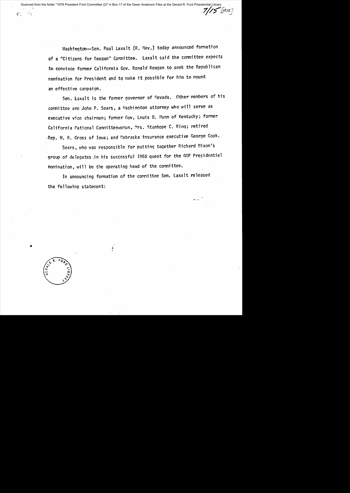Uashington--Sen. Paul Laxalt CR. Nev.) today announced formation of a "Citizens for Reagan" Committee. Laxalt said the committee expects to convince former California Gov. Ronald Reagan to seek the Republican nomination for President and to make it possible for him to mount an effective campaign.

Sen. Laxalt is the former governor of Nevada. Other members of his committee are John P. Sears, a Mashington attorney who will serve as executive vice chairman; former Gov. Louis B. Nunn of Kentucky; former California Mational Committeewoman, Mrs. Stanhope C. Ring; retired .Rep. H. R. Gross of Iowa; and Nebraska insurance executive George Cook.

Sears, who was responsible for putting together Richard Nixon's group of delegates jn his successful 1968 quest for the GOP Presidential nomination, will be the operating head of the committee.

In announcing formation of the committee Sen. Laxalt released the following statement:

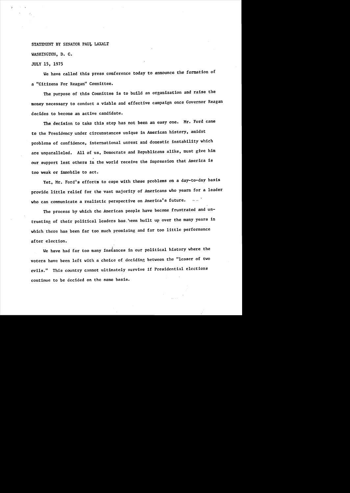## STATEMENT BY SENATOR PAUL LAXALT

WASHINGTON, D. C.

## JULY 15, 1975

We have called this press conference today to announce the formation of a "Citizens For Reagan" Committee.

The purpose of this Committee is to build an organization and raise the money necessary to conduct a viable and effective campaign once Governor Reagan decides to become an active candidate.

The decision to take this step has not been an easy one. Mr. Ford came to the Presidency under circumstances unique in American history, amidst problems of confidence, international unrest and domestic instability which are unparalleled. All of us, Democrats and Republicans alike, must give him our support lest others in the world receive the impression that America is too weak or immobile to act.

Yet, Mr. Ford's efforts to cope with these problems on a day-to-day basis provide little relief for the vast majority of Americans who yearn for a leader who can communicate a realistic perspective on America's future.

The process by which the American people have become frustrated and untrusting of their political leaders has. been huilt up over the many years in which there has been far too much promising and far too little performance after election.

We have had far too many instances in our political history where the voters have been left with a choice of deciding between the "lesser of two evils." This country cannot ultimately survive if Presidential elections continue to be decided on the same basis.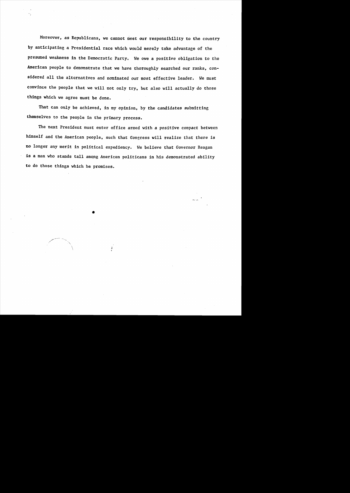Moreover, as Republicans, we cannot meet our responsibility to the country by anticipating a Presidential race which would merely take advantage of the presumed weakness in the Democratic Party. We owe a positive obligation to the American people to demonstrate that we have thoroughly searched our ranks, considered all the alternatives and nominated our most effective leader. We must convince the people that we will not only try, but also will actually do those things which we agree must be done.

That can only be achieved, in my opinion, by the candidates submitting themselves to the people in the primary process.

The next President must enter office armed with a positive compact between himself and the American people. such that Congress will realize that there is no longer any merit in political expediency. We believe that Governor Reagan is a man who stands tall among American politicans in his demonstrated ability to do those things which he promises.

•

, ~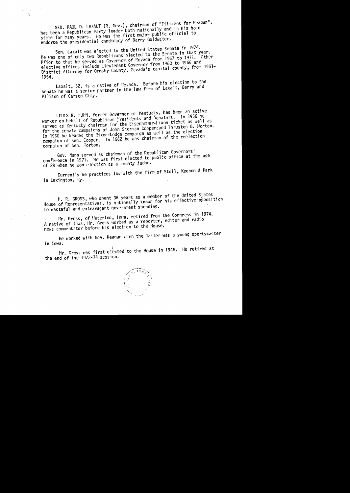SEN. PAUL D. LAXALT (R. Nev.), chairman of "Citizens for Reagan", has been a Republican Party leader both nationally and in his home state for many years. He was the first major public official to endorse the presidential candidacy of Barry Goldwater.

Sen. Laxalt was elected to the United States Senate in 1974. He was one of only two Republicans elected to the Senate in that year. Prior to that he served as Governor of Nevada from 1967 to 1971. Other elective offices include Lieutenant Governor from 1963 to 1966 and District Attorney for Ormsby County, Mevada's capital county, from 1951-1954.

Laxalt, 52, is a native of Mevada. Before his election to the Senate he was a senior partner in the law firm of Laxalt, Berry and Allison of Carson City.

LOUIS B. NUNN, former Governor of Kentucky, has been an active worker on behalf of Republican Presidents and Senators. In 1956 he served as Kentucky chairman for the Eisenhover-Mixon ticket as well as for the senate campaigns of John Sherman Cooperaand Thruston B. Morton. In 1960 he headed the Nixon-Lodge campaign as well as the election campaign of Sen. Ccoper. In 1962 he was chairman of the reelection campaign of Sen. Morton.

Gov. Nunn served as chairman of the Republican Governors' conference in 1971. He was first elected to public office at the age of 29 when he won election as a county judge.

Currently he practices law with the firm of Stoll, Keenon & Park in Lexington, Ky.

H. R. GROSS, who spent 36 years as a member of the United States House of Representatives, is nationally known for his effective opposition to wasteful and extravagant government spending.

Mr. Gross, of Materloo, Iova, retired from the Congress in 1974. A native of Iowa, Mr. Gross worked as a reporter, editor and radio news commentator before his election to the House.

He worked with Gov. Reagan when the latter was a young sportscaster in Iowa.

Mr. Gross was first elected to the House in 1948. He retired at the end of the 1973-74 session.